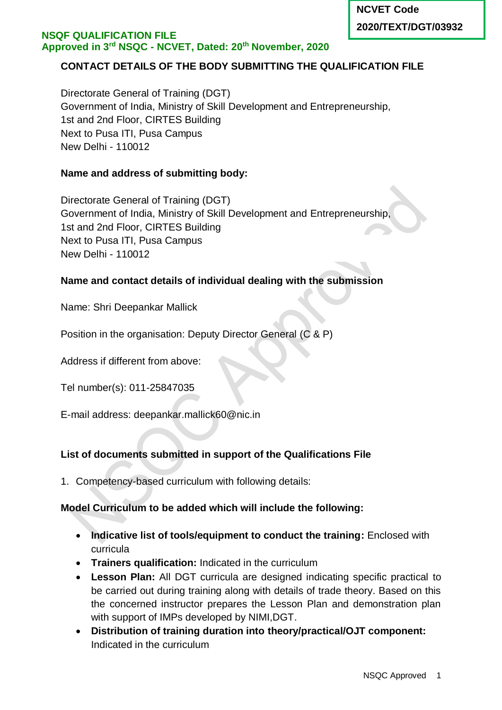# **CONTACT DETAILS OF THE BODY SUBMITTING THE QUALIFICATION FILE**

Directorate General of Training (DGT) Government of India, Ministry of Skill Development and Entrepreneurship, 1st and 2nd Floor, CIRTES Building Next to Pusa ITI, Pusa Campus New Delhi - 110012

### **Name and address of submitting body:**

Directorate General of Training (DGT) Government of India, Ministry of Skill Development and Entrepreneurship, 1st and 2nd Floor, CIRTES Building Next to Pusa ITI, Pusa Campus New Delhi - 110012

#### **Name and contact details of individual dealing with the submission**

Name: Shri Deepankar Mallick

Position in the organisation: Deputy Director General (C & P)

Address if different from above:

Tel number(s): 011-25847035

E-mail address: deepankar.mallick60@nic.in

### **List of documents submitted in support of the Qualifications File**

1. Competency-based curriculum with following details:

### **Model Curriculum to be added which will include the following:**

- **Indicative list of tools/equipment to conduct the training: Enclosed with** curricula
- **Trainers qualification:** Indicated in the curriculum
- **Lesson Plan:** All DGT curricula are designed indicating specific practical to be carried out during training along with details of trade theory. Based on this the concerned instructor prepares the Lesson Plan and demonstration plan with support of IMPs developed by NIMI,DGT.
- **Distribution of training duration into theory/practical/OJT component:**  Indicated in the curriculum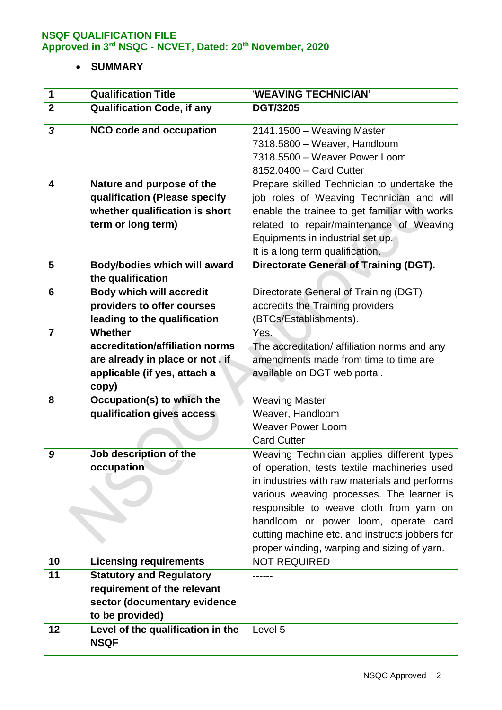# **SUMMARY**

| 1              | <b>Qualification Title</b>                       | 'WEAVING TECHNICIAN'                           |
|----------------|--------------------------------------------------|------------------------------------------------|
| $\overline{2}$ | <b>Qualification Code, if any</b>                | <b>DGT/3205</b>                                |
| 3              | <b>NCO code and occupation</b>                   | 2141.1500 - Weaving Master                     |
|                |                                                  | 7318.5800 - Weaver, Handloom                   |
|                |                                                  | 7318.5500 - Weaver Power Loom                  |
|                |                                                  | 8152.0400 - Card Cutter                        |
| 4              | Nature and purpose of the                        | Prepare skilled Technician to undertake the    |
|                | qualification (Please specify                    | job roles of Weaving Technician and will       |
|                | whether qualification is short                   | enable the trainee to get familiar with works  |
|                | term or long term)                               | related to repair/maintenance of Weaving       |
|                |                                                  | Equipments in industrial set up.               |
|                |                                                  | It is a long term qualification.               |
| 5              | Body/bodies which will award                     | <b>Directorate General of Training (DGT).</b>  |
|                | the qualification                                |                                                |
| 6              | <b>Body which will accredit</b>                  | Directorate General of Training (DGT)          |
|                | providers to offer courses                       | accredits the Training providers               |
|                | leading to the qualification                     | (BTCs/Establishments).                         |
| $\overline{7}$ | Whether                                          | Yes.                                           |
|                | accreditation/affiliation norms                  | The accreditation/ affiliation norms and any   |
|                | are already in place or not, if                  | amendments made from time to time are          |
|                | applicable (if yes, attach a                     | available on DGT web portal.                   |
|                | copy)                                            |                                                |
| 8              | Occupation(s) to which the                       | <b>Weaving Master</b>                          |
|                | qualification gives access                       | Weaver, Handloom                               |
|                |                                                  | <b>Weaver Power Loom</b>                       |
|                |                                                  | <b>Card Cutter</b>                             |
| 9              | Job description of the                           | Weaving Technician applies different types     |
|                | occupation                                       | of operation, tests textile machineries used   |
|                |                                                  | in industries with raw materials and performs  |
|                |                                                  | various weaving processes. The learner is      |
|                |                                                  | responsible to weave cloth from yarn on        |
|                |                                                  | handloom or power loom, operate card           |
|                |                                                  | cutting machine etc. and instructs jobbers for |
|                |                                                  | proper winding, warping and sizing of yarn.    |
| 10             | <b>Licensing requirements</b>                    | <b>NOT REQUIRED</b>                            |
| 11             | <b>Statutory and Regulatory</b>                  |                                                |
|                | requirement of the relevant                      |                                                |
|                | sector (documentary evidence                     |                                                |
|                | to be provided)                                  |                                                |
| 12             | Level of the qualification in the<br><b>NSQF</b> | Level 5                                        |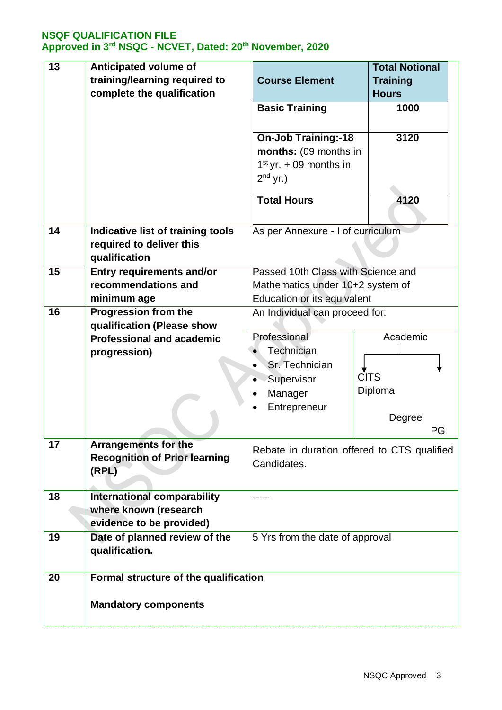| 13 | <b>Anticipated volume of</b><br>training/learning required to<br>complete the qualification | <b>Course Element</b>                                                                                 | <b>Total Notional</b><br><b>Training</b><br><b>Hours</b> |
|----|---------------------------------------------------------------------------------------------|-------------------------------------------------------------------------------------------------------|----------------------------------------------------------|
|    |                                                                                             | <b>Basic Training</b>                                                                                 | 1000                                                     |
|    |                                                                                             | <b>On-Job Training:-18</b><br>months: (09 months in<br>$1st$ yr. + 09 months in<br>$2^{nd}$ yr.)      | 3120                                                     |
|    |                                                                                             | <b>Total Hours</b>                                                                                    | 4120                                                     |
| 14 | <b>Indicative list of training tools</b><br>required to deliver this<br>qualification       | As per Annexure - I of curriculum                                                                     |                                                          |
| 15 | <b>Entry requirements and/or</b><br>recommendations and<br>minimum age                      | Passed 10th Class with Science and<br>Mathematics under 10+2 system of<br>Education or its equivalent |                                                          |
| 16 | <b>Progression from the</b><br>qualification (Please show                                   | An Individual can proceed for:                                                                        |                                                          |
|    | <b>Professional and academic</b><br>progression)                                            | Professional<br>Technician<br>Sr. Technician<br>Supervisor<br>Manager<br>Entrepreneur                 | Academic<br><b>CITS</b><br>Diploma<br>Degree<br>PG       |
| 17 | <b>Arrangements for the</b><br><b>Recognition of Prior learning</b><br>(RPL)                | Rebate in duration offered to CTS qualified<br>Candidates.                                            |                                                          |
| 18 | <b>International comparability</b><br>where known (research<br>evidence to be provided)     |                                                                                                       |                                                          |
| 19 | Date of planned review of the<br>qualification.                                             | 5 Yrs from the date of approval                                                                       |                                                          |
| 20 | Formal structure of the qualification<br><b>Mandatory components</b>                        |                                                                                                       |                                                          |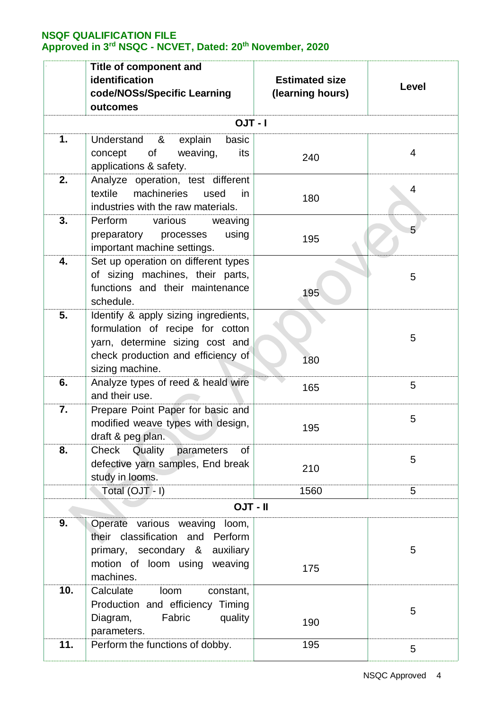|     | Title of component and<br>identification<br>code/NOSs/Specific Learning<br>outcomes                                                                                  | <b>Estimated size</b><br>(learning hours) | Level |
|-----|----------------------------------------------------------------------------------------------------------------------------------------------------------------------|-------------------------------------------|-------|
|     | $I - TUO$                                                                                                                                                            |                                           |       |
| 1.  | Understand<br>&<br>explain<br>basic<br>concept<br>of<br>weaving,<br>its<br>applications & safety.                                                                    | 240                                       | 4     |
| 2.  | Analyze operation, test different<br>machineries<br>textile<br>used<br>in.<br>industries with the raw materials.                                                     | 180                                       | 4     |
| 3.  | Perform<br>various<br>weaving<br>preparatory processes<br>using<br>important machine settings.                                                                       | 195                                       | 5     |
| 4.  | Set up operation on different types<br>of sizing machines, their parts,<br>functions and their maintenance<br>schedule.                                              | 195                                       | 5     |
| 5.  | Identify & apply sizing ingredients,<br>formulation of recipe for cotton<br>yarn, determine sizing cost and<br>check production and efficiency of<br>sizing machine. | 180                                       | 5     |
| 6.  | Analyze types of reed & heald wire<br>and their use.                                                                                                                 | 165                                       | 5     |
| 7.  | Prepare Point Paper for basic and<br>modified weave types with design,<br>draft & peg plan.                                                                          | 195                                       | 5     |
| 8.  | Check<br>Quality<br>parameters<br>of<br>defective yarn samples, End break<br>study in looms.                                                                         | 210                                       | 5     |
|     | Total (OJT - I)                                                                                                                                                      | 1560                                      | 5     |
|     | <b>OJT - II</b>                                                                                                                                                      |                                           |       |
| 9.  | Operate various weaving<br>loom,<br>their classification and Perform<br>primary, secondary &<br>auxiliary<br>motion of loom using weaving<br>machines.               | 175                                       | 5     |
| 10. | Calculate<br>loom<br>constant,<br>Production and efficiency Timing<br>Fabric<br>Diagram,<br>quality<br>parameters.                                                   | 190                                       | 5     |
| 11. | Perform the functions of dobby.                                                                                                                                      | 195                                       | 5     |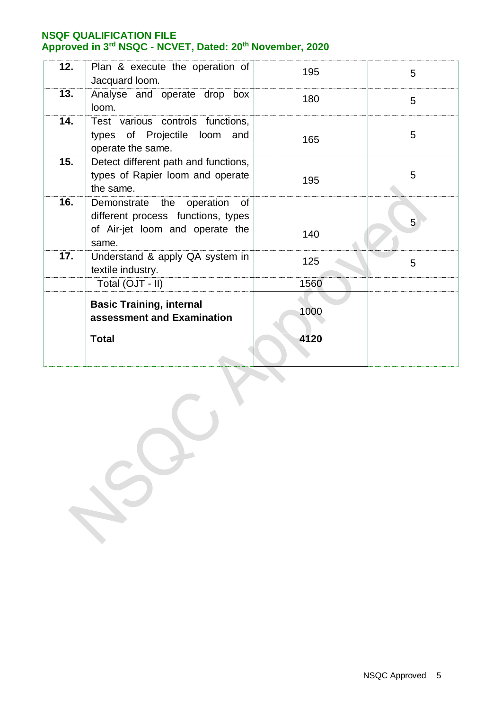| 12. | Plan & execute the operation of<br>Jacquard loom.                                                                    | 195  | 5 |
|-----|----------------------------------------------------------------------------------------------------------------------|------|---|
| 13. | Analyse and operate drop box<br>loom.                                                                                | 180  | 5 |
| 14. | Test various controls functions,<br>types of Projectile loom and<br>operate the same.                                | 165  | 5 |
| 15. | Detect different path and functions,<br>types of Rapier loom and operate<br>the same.                                | 195  | 5 |
| 16. | Demonstrate the<br>operation<br>of<br>different process functions, types<br>of Air-jet loom and operate the<br>same. | 140  | 5 |
| 17. | Understand & apply QA system in<br>textile industry.                                                                 | 125  | 5 |
|     | Total (OJT - II)                                                                                                     | 1560 |   |
|     | <b>Basic Training, internal</b><br>assessment and Examination                                                        | 1000 |   |
|     | <b>Total</b>                                                                                                         | 4120 |   |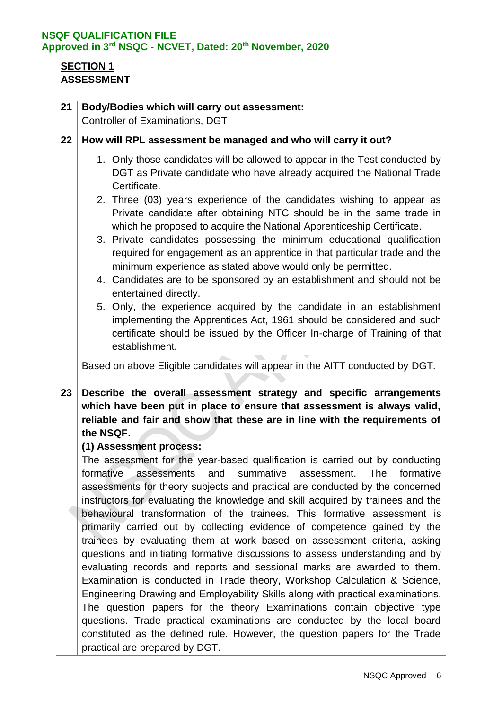# **SECTION 1 ASSESSMENT**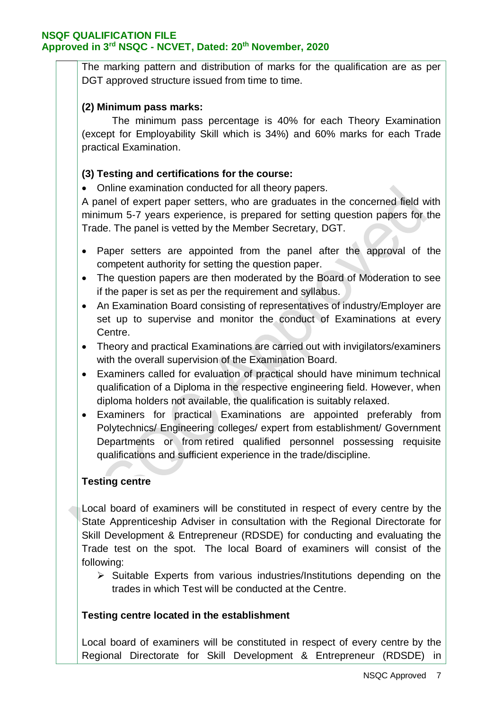The marking pattern and distribution of marks for the qualification are as per DGT approved structure issued from time to time.

### **(2) Minimum pass marks:**

The minimum pass percentage is 40% for each Theory Examination (except for Employability Skill which is 34%) and 60% marks for each Trade practical Examination.

### **(3) Testing and certifications for the course:**

Online examination conducted for all theory papers.

A panel of expert paper setters, who are graduates in the concerned field with minimum 5-7 years experience, is prepared for setting question papers for the Trade. The panel is vetted by the Member Secretary, DGT.

- Paper setters are appointed from the panel after the approval of the competent authority for setting the question paper.
- The question papers are then moderated by the Board of Moderation to see if the paper is set as per the requirement and syllabus.
- An Examination Board consisting of representatives of industry/Employer are set up to supervise and monitor the conduct of Examinations at every Centre.
- Theory and practical Examinations are carried out with invigilators/examiners with the overall supervision of the Examination Board.
- Examiners called for evaluation of practical should have minimum technical qualification of a Diploma in the respective engineering field. However, when diploma holders not available, the qualification is suitably relaxed.
- Examiners for practical Examinations are appointed preferably from Polytechnics/ Engineering colleges/ expert from establishment/ Government Departments or from retired qualified personnel possessing requisite qualifications and sufficient experience in the trade/discipline.

### **Testing centre**

Local board of examiners will be constituted in respect of every centre by the State Apprenticeship Adviser in consultation with the Regional Directorate for Skill Development & Entrepreneur (RDSDE) for conducting and evaluating the Trade test on the spot. The local Board of examiners will consist of the following:

 $\triangleright$  Suitable Experts from various industries/Institutions depending on the trades in which Test will be conducted at the Centre.

#### **Testing centre located in the establishment**

Local board of examiners will be constituted in respect of every centre by the Regional Directorate for Skill Development & Entrepreneur (RDSDE) in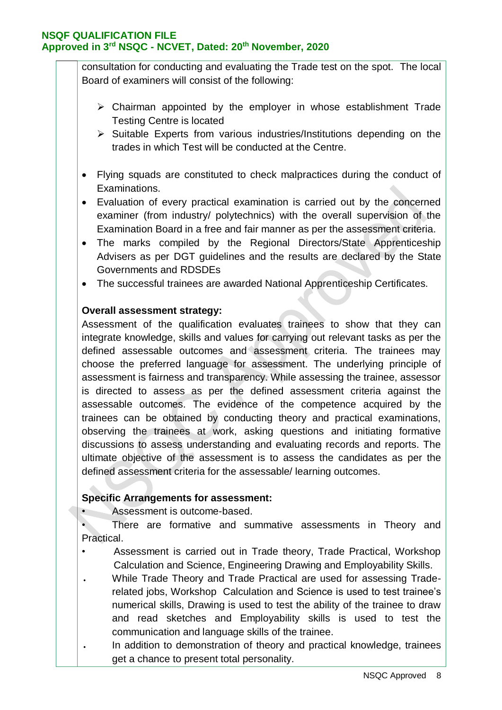consultation for conducting and evaluating the Trade test on the spot. The local Board of examiners will consist of the following:

- $\triangleright$  Chairman appointed by the employer in whose establishment Trade Testing Centre is located
- $\triangleright$  Suitable Experts from various industries/Institutions depending on the trades in which Test will be conducted at the Centre.
- Flying squads are constituted to check malpractices during the conduct of Examinations.
- Evaluation of every practical examination is carried out by the concerned examiner (from industry/ polytechnics) with the overall supervision of the Examination Board in a free and fair manner as per the assessment criteria.
- The marks compiled by the Regional Directors/State Apprenticeship Advisers as per DGT guidelines and the results are declared by the State Governments and RDSDEs
- The successful trainees are awarded National Apprenticeship Certificates.

### **Overall assessment strategy:**

Assessment of the qualification evaluates trainees to show that they can integrate knowledge, skills and values for carrying out relevant tasks as per the defined assessable outcomes and assessment criteria. The trainees may choose the preferred language for assessment. The underlying principle of assessment is fairness and transparency. While assessing the trainee, assessor is directed to assess as per the defined assessment criteria against the assessable outcomes. The evidence of the competence acquired by the trainees can be obtained by conducting theory and practical examinations, observing the trainees at work, asking questions and initiating formative discussions to assess understanding and evaluating records and reports. The ultimate objective of the assessment is to assess the candidates as per the defined assessment criteria for the assessable/ learning outcomes.

#### **Specific Arrangements for assessment:**

• Assessment is outcome-based.

• There are formative and summative assessments in Theory and Practical.

- Assessment is carried out in Trade theory, Trade Practical, Workshop Calculation and Science, Engineering Drawing and Employability Skills.
- While Trade Theory and Trade Practical are used for assessing Traderelated jobs, Workshop Calculation and Science is used to test trainee's numerical skills, Drawing is used to test the ability of the trainee to draw and read sketches and Employability skills is used to test the communication and language skills of the trainee.
- In addition to demonstration of theory and practical knowledge, trainees get a chance to present total personality.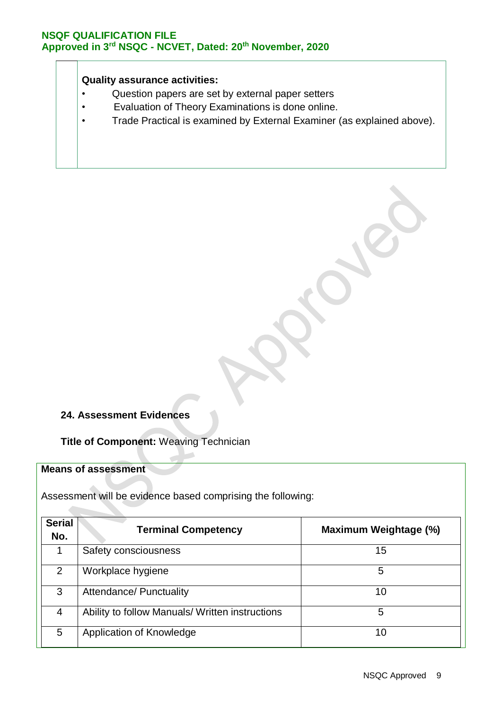### **Quality assurance activities:**

- Question papers are set by external paper setters
- Evaluation of Theory Examinations is done online.
- Trade Practical is examined by External Examiner (as explained above).

### **24. Assessment Evidences**

**Title of Component:** Weaving Technician

### **Means of assessment**

Assessment will be evidence based comprising the following:

| <b>Serial</b><br>No. | <b>Terminal Competency</b>                      | Maximum Weightage (%) |
|----------------------|-------------------------------------------------|-----------------------|
| 1                    | Safety consciousness                            | 15                    |
| 2                    | Workplace hygiene                               | 5                     |
| 3                    | <b>Attendance/ Punctuality</b>                  | 10                    |
| 4                    | Ability to follow Manuals/ Written instructions | 5                     |
| 5                    | Application of Knowledge                        | 10                    |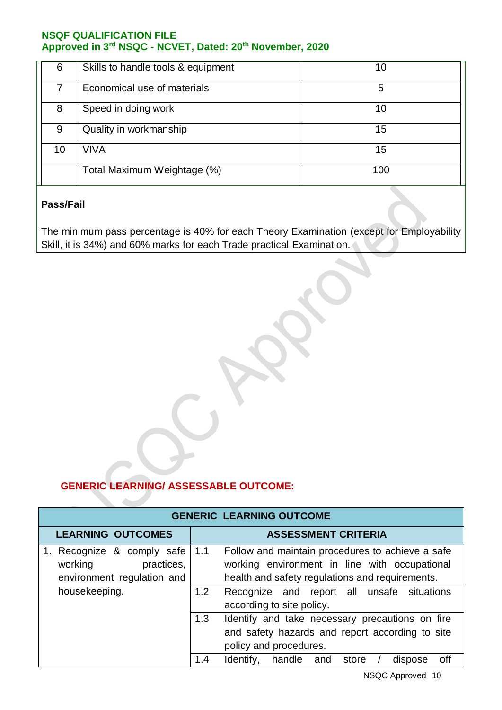| 6  | Skills to handle tools & equipment | 10  |
|----|------------------------------------|-----|
|    | Economical use of materials        | 5   |
| 8  | Speed in doing work                | 10  |
| 9  | Quality in workmanship             | 15  |
| 10 | VIVA                               | 15  |
|    | Total Maximum Weightage (%)        | 100 |

### **Pass/Fail**

The minimum pass percentage is 40% for each Theory Examination (except for Employability Skill, it is 34%) and 60% marks for each Trade practical Examination.

# **GENERIC LEARNING/ ASSESSABLE OUTCOME:**

**A** 

| <b>GENERIC LEARNING OUTCOME</b>                                                   |                            |                                                                                                                                                      |  |
|-----------------------------------------------------------------------------------|----------------------------|------------------------------------------------------------------------------------------------------------------------------------------------------|--|
| <b>LEARNING OUTCOMES</b>                                                          | <b>ASSESSMENT CRITERIA</b> |                                                                                                                                                      |  |
| 1. Recognize & comply safe<br>practices,<br>working<br>environment regulation and | 1.1                        | Follow and maintain procedures to achieve a safe<br>working environment in line with occupational<br>health and safety regulations and requirements. |  |
| housekeeping.                                                                     | 1.2                        | Recognize and report all unsafe situations<br>according to site policy.                                                                              |  |
|                                                                                   | 1.3                        | Identify and take necessary precautions on fire<br>and safety hazards and report according to site<br>policy and procedures.                         |  |
|                                                                                   | 1.4                        | off<br>Identify,<br>handle<br>and<br>store<br>dispose                                                                                                |  |

NSQC Approved 10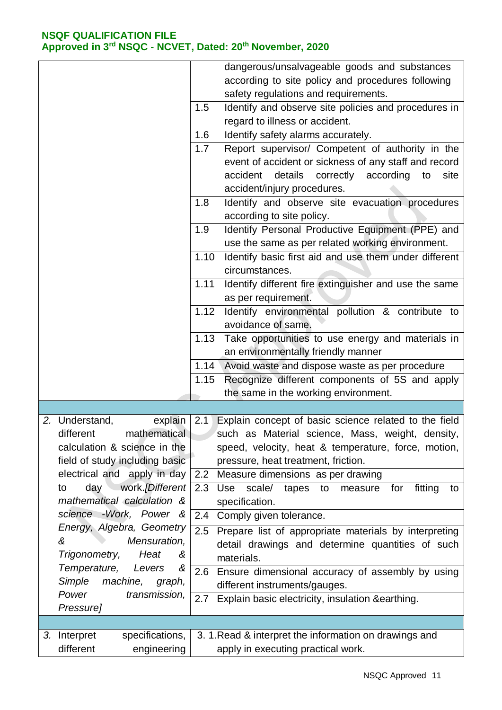|                                                        | dangerous/unsalvageable goods and substances                                                                     |
|--------------------------------------------------------|------------------------------------------------------------------------------------------------------------------|
|                                                        | according to site policy and procedures following                                                                |
|                                                        | safety regulations and requirements.                                                                             |
|                                                        | Identify and observe site policies and procedures in<br>1.5                                                      |
|                                                        | regard to illness or accident.                                                                                   |
|                                                        | 1.6<br>Identify safety alarms accurately.                                                                        |
|                                                        | Report supervisor/ Competent of authority in the<br>1.7                                                          |
|                                                        | event of accident or sickness of any staff and record                                                            |
|                                                        | accident details correctly according<br>to<br>site                                                               |
|                                                        | accident/injury procedures.                                                                                      |
|                                                        | 1.8<br>Identify and observe site evacuation procedures<br>according to site policy.                              |
|                                                        | Identify Personal Productive Equipment (PPE) and<br>1.9                                                          |
|                                                        | use the same as per related working environment.                                                                 |
|                                                        | Identify basic first aid and use them under different<br>1.10                                                    |
|                                                        | circumstances.                                                                                                   |
|                                                        | Identify different fire extinguisher and use the same<br>1.11                                                    |
|                                                        | as per requirement.                                                                                              |
|                                                        | Identify environmental pollution & contribute to<br>1.12                                                         |
|                                                        | avoidance of same.                                                                                               |
|                                                        | 1.13<br>Take opportunities to use energy and materials in                                                        |
|                                                        | an environmentally friendly manner                                                                               |
|                                                        | Avoid waste and dispose waste as per procedure<br>1.14                                                           |
|                                                        | Recognize different components of 5S and apply<br>1.15                                                           |
|                                                        | the same in the working environment.                                                                             |
|                                                        |                                                                                                                  |
| 2. Understand,<br>explain<br>different<br>mathematical | Explain concept of basic science related to the field<br>2.1<br>such as Material science, Mass, weight, density, |
| calculation & science in the                           | speed, velocity, heat & temperature, force, motion,                                                              |
| field of study including basic                         | pressure, heat treatment, friction.                                                                              |
| electrical and apply in day                            | 2.2 Measure dimensions as per drawing                                                                            |
| work.[Different<br>day<br>to                           | scale/ tapes to measure<br>2.3<br>Use<br>fitting<br>for<br>to                                                    |
| mathematical calculation &                             | specification.                                                                                                   |
| science -Work, Power &                                 | Comply given tolerance.<br>2.4                                                                                   |
| Energy, Algebra, Geometry                              | 2.5<br>Prepare list of appropriate materials by interpreting                                                     |
| &<br>Mensuration,                                      | detail drawings and determine quantities of such                                                                 |
| Heat<br>Trigonometry,<br>ଝ                             | materials.                                                                                                       |
| Temperature,<br>Levers<br>&                            | 2.6 Ensure dimensional accuracy of assembly by using                                                             |
| Simple<br>machine,<br>graph,                           | different instruments/gauges.                                                                                    |
| Power<br>transmission,                                 | 2.7<br>Explain basic electricity, insulation &earthing.                                                          |
| Pressure]                                              |                                                                                                                  |
|                                                        |                                                                                                                  |
| specifications,<br>3. Interpret<br>different           | 3. 1. Read & interpret the information on drawings and                                                           |
| engineering                                            | apply in executing practical work.                                                                               |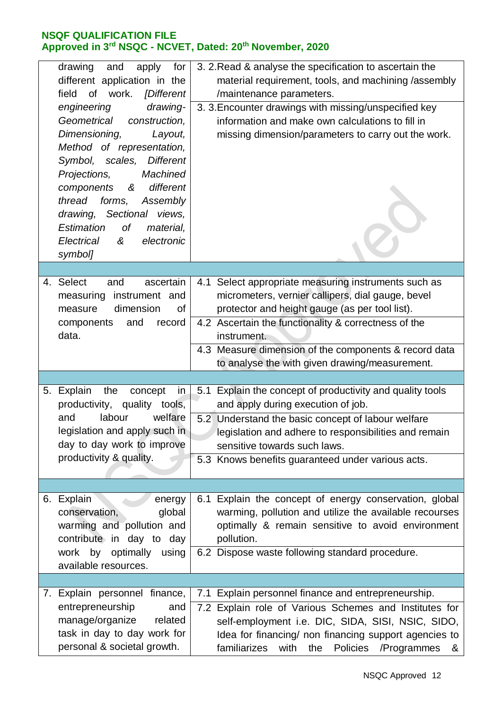|    | drawing<br>and<br>for<br>apply<br>different application in the<br>of work. [Different<br>field<br>engineering<br>drawing-<br>Geometrical<br>construction.<br>Dimensioning,<br>Layout,<br>Method of representation,<br>Symbol, scales,<br><b>Different</b><br><b>Machined</b><br>Projections,<br>different<br>components<br>&<br>thread<br>forms,<br>Assembly<br>drawing, Sectional views,<br>Estimation<br>of<br>material,<br>Electrical<br>electronic<br>&<br>symbol] | 3. 2. Read & analyse the specification to ascertain the<br>material requirement, tools, and machining /assembly<br>/maintenance parameters.<br>3. 3. Encounter drawings with missing/unspecified key<br>information and make own calculations to fill in<br>missing dimension/parameters to carry out the work.                               |
|----|------------------------------------------------------------------------------------------------------------------------------------------------------------------------------------------------------------------------------------------------------------------------------------------------------------------------------------------------------------------------------------------------------------------------------------------------------------------------|-----------------------------------------------------------------------------------------------------------------------------------------------------------------------------------------------------------------------------------------------------------------------------------------------------------------------------------------------|
|    |                                                                                                                                                                                                                                                                                                                                                                                                                                                                        |                                                                                                                                                                                                                                                                                                                                               |
| 4. | <b>Select</b><br>ascertain<br>and<br>measuring instrument and<br>dimension<br>measure<br>Οf<br>and<br>components<br>record<br>data.                                                                                                                                                                                                                                                                                                                                    | 4.1 Select appropriate measuring instruments such as<br>micrometers, vernier callipers, dial gauge, bevel<br>protector and height gauge (as per tool list).<br>4.2 Ascertain the functionality & correctness of the<br>instrument.<br>4.3 Measure dimension of the components & record data<br>to analyse the with given drawing/measurement. |
|    |                                                                                                                                                                                                                                                                                                                                                                                                                                                                        |                                                                                                                                                                                                                                                                                                                                               |
|    | 5. Explain<br>the<br>concept<br>in<br>productivity, quality tools,<br>labour<br>welfare<br>and<br>legislation and apply such in<br>day to day work to improve<br>productivity & quality.                                                                                                                                                                                                                                                                               | 5.1 Explain the concept of productivity and quality tools<br>and apply during execution of job.<br>5.2 Understand the basic concept of labour welfare<br>legislation and adhere to responsibilities and remain<br>sensitive towards such laws.<br>5.3 Knows benefits guaranteed under various acts.                                           |
|    |                                                                                                                                                                                                                                                                                                                                                                                                                                                                        |                                                                                                                                                                                                                                                                                                                                               |
|    | 6. Explain<br>energy<br>conservation,<br>global<br>warming and pollution and<br>contribute in day to day<br>work by optimally<br>using<br>available resources.                                                                                                                                                                                                                                                                                                         | 6.1 Explain the concept of energy conservation, global<br>warming, pollution and utilize the available recourses<br>optimally & remain sensitive to avoid environment<br>pollution.<br>6.2 Dispose waste following standard procedure.                                                                                                        |
|    |                                                                                                                                                                                                                                                                                                                                                                                                                                                                        |                                                                                                                                                                                                                                                                                                                                               |
|    | 7. Explain personnel finance,<br>entrepreneurship<br>and<br>manage/organize<br>related<br>task in day to day work for<br>personal & societal growth.                                                                                                                                                                                                                                                                                                                   | 7.1 Explain personnel finance and entrepreneurship.<br>7.2 Explain role of Various Schemes and Institutes for<br>self-employment i.e. DIC, SIDA, SISI, NSIC, SIDO,<br>Idea for financing/ non financing support agencies to<br>familiarizes<br>Policies<br>with<br>the<br>/Programmes<br>&                                                    |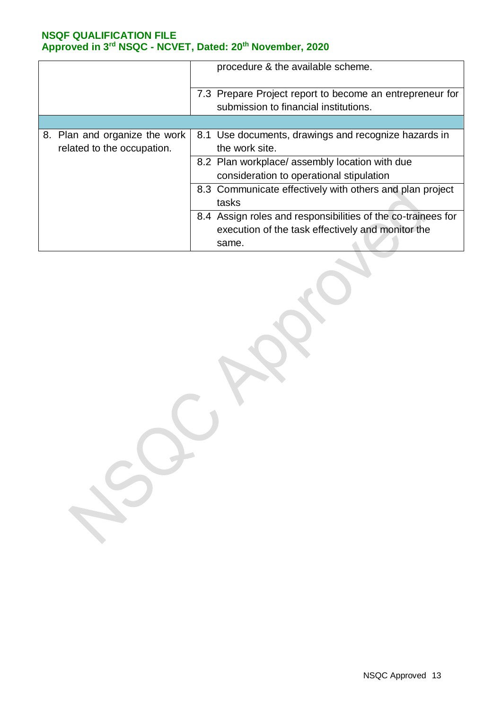|                               | procedure & the available scheme.                            |
|-------------------------------|--------------------------------------------------------------|
|                               | 7.3 Prepare Project report to become an entrepreneur for     |
|                               | submission to financial institutions.                        |
|                               |                                                              |
| 8. Plan and organize the work | 8.1 Use documents, drawings and recognize hazards in         |
| related to the occupation.    | the work site.                                               |
|                               | 8.2 Plan workplace/ assembly location with due               |
|                               | consideration to operational stipulation                     |
|                               | 8.3 Communicate effectively with others and plan project     |
|                               | tasks                                                        |
|                               | 8.4 Assign roles and responsibilities of the co-trainees for |
|                               | execution of the task effectively and monitor the            |
|                               | same.                                                        |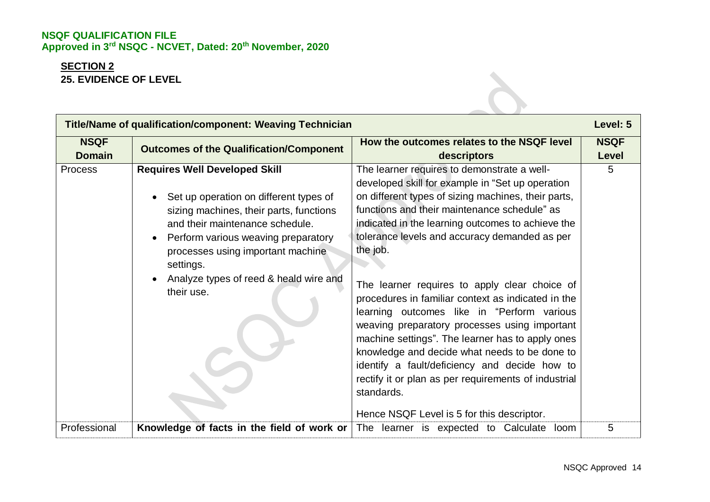# **SECTION 2 25. EVIDENCE OF LEVEL**

| <b>Title/Name of qualification/component: Weaving Technician</b> |                                                                                                                                                                                                                                                                                                                            |                                                                                                                                                                                                                                                                                                                                                                                                                                                                                                                                                                                                                                                                                                                                                                                                          | Level: 5             |
|------------------------------------------------------------------|----------------------------------------------------------------------------------------------------------------------------------------------------------------------------------------------------------------------------------------------------------------------------------------------------------------------------|----------------------------------------------------------------------------------------------------------------------------------------------------------------------------------------------------------------------------------------------------------------------------------------------------------------------------------------------------------------------------------------------------------------------------------------------------------------------------------------------------------------------------------------------------------------------------------------------------------------------------------------------------------------------------------------------------------------------------------------------------------------------------------------------------------|----------------------|
| <b>NSQF</b><br><b>Domain</b>                                     | <b>Outcomes of the Qualification/Component</b>                                                                                                                                                                                                                                                                             | How the outcomes relates to the NSQF level<br>descriptors                                                                                                                                                                                                                                                                                                                                                                                                                                                                                                                                                                                                                                                                                                                                                | <b>NSQF</b><br>Level |
| <b>Process</b>                                                   | <b>Requires Well Developed Skill</b><br>Set up operation on different types of<br>sizing machines, their parts, functions<br>and their maintenance schedule.<br>Perform various weaving preparatory<br>$\bullet$<br>processes using important machine<br>settings.<br>Analyze types of reed & heald wire and<br>their use. | The learner requires to demonstrate a well-<br>developed skill for example in "Set up operation<br>on different types of sizing machines, their parts,<br>functions and their maintenance schedule" as<br>indicated in the learning outcomes to achieve the<br>tolerance levels and accuracy demanded as per<br>the job.<br>The learner requires to apply clear choice of<br>procedures in familiar context as indicated in the<br>learning outcomes like in "Perform various<br>weaving preparatory processes using important<br>machine settings". The learner has to apply ones<br>knowledge and decide what needs to be done to<br>identify a fault/deficiency and decide how to<br>rectify it or plan as per requirements of industrial<br>standards.<br>Hence NSQF Level is 5 for this descriptor. | 5                    |
| Professional                                                     | Knowledge of facts in the field of work or                                                                                                                                                                                                                                                                                 | The learner is expected to Calculate loom                                                                                                                                                                                                                                                                                                                                                                                                                                                                                                                                                                                                                                                                                                                                                                | 5                    |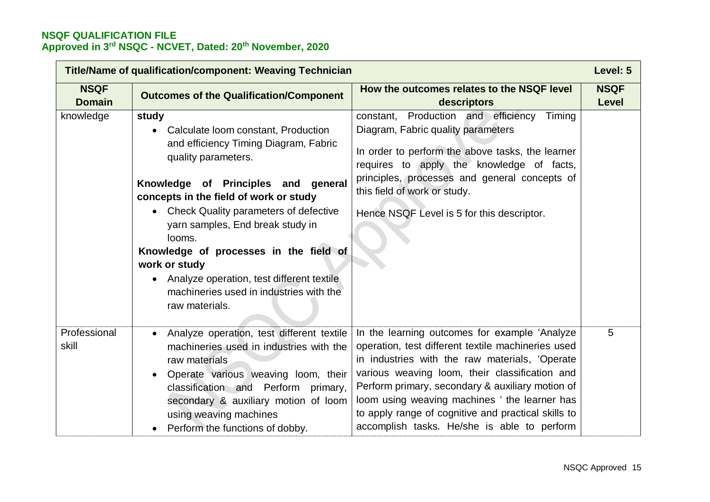| <b>Title/Name of qualification/component: Weaving Technician</b> |                                                                                                                                                                                                                                                                                                                                                                                                                                                                          |                                                                                                                                                                                                                                                                                                                                                                                                                    | Level: 5             |
|------------------------------------------------------------------|--------------------------------------------------------------------------------------------------------------------------------------------------------------------------------------------------------------------------------------------------------------------------------------------------------------------------------------------------------------------------------------------------------------------------------------------------------------------------|--------------------------------------------------------------------------------------------------------------------------------------------------------------------------------------------------------------------------------------------------------------------------------------------------------------------------------------------------------------------------------------------------------------------|----------------------|
| <b>NSQF</b><br><b>Domain</b>                                     | <b>Outcomes of the Qualification/Component</b>                                                                                                                                                                                                                                                                                                                                                                                                                           | How the outcomes relates to the NSQF level<br>descriptors                                                                                                                                                                                                                                                                                                                                                          | <b>NSQF</b><br>Level |
| knowledge                                                        | study<br>Calculate loom constant, Production<br>$\bullet$<br>and efficiency Timing Diagram, Fabric<br>quality parameters.<br>Knowledge of Principles and general<br>concepts in the field of work or study<br>• Check Quality parameters of defective<br>yarn samples, End break study in<br>looms.<br>Knowledge of processes in the field of<br>work or study<br>Analyze operation, test different textile<br>machineries used in industries with the<br>raw materials. | Production and efficiency<br>Timing<br>constant,<br>Diagram, Fabric quality parameters<br>In order to perform the above tasks, the learner<br>requires to apply the knowledge of facts,<br>principles, processes and general concepts of<br>this field of work or study.<br>Hence NSQF Level is 5 for this descriptor.                                                                                             |                      |
| Professional<br>skill                                            | Analyze operation, test different textile<br>machineries used in industries with the<br>raw materials<br>Operate various weaving loom, their<br>classification and Perform primary,<br>secondary & auxiliary motion of loom<br>using weaving machines<br>Perform the functions of dobby.                                                                                                                                                                                 | In the learning outcomes for example 'Analyze<br>operation, test different textile machineries used<br>in industries with the raw materials, 'Operate<br>various weaving loom, their classification and<br>Perform primary, secondary & auxiliary motion of<br>loom using weaving machines ' the learner has<br>to apply range of cognitive and practical skills to<br>accomplish tasks. He/she is able to perform | 5                    |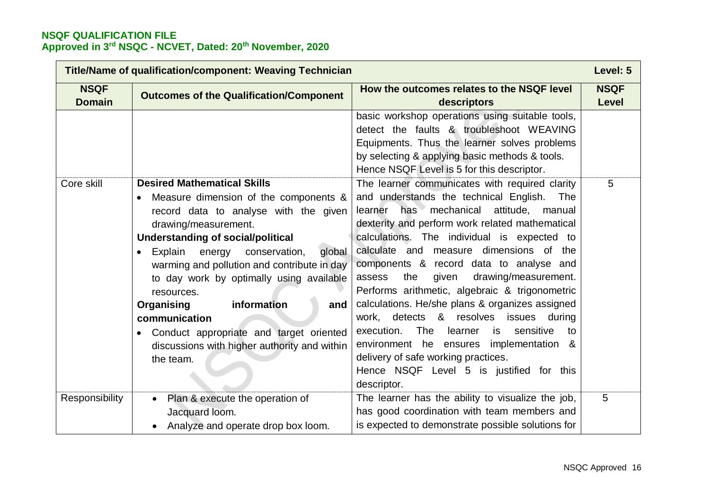| <b>Title/Name of qualification/component: Weaving Technician</b> |                                                                                                                                                                                                                                                                                                                                                                                                                                                                                                                             |                                                                                                                                                                                                                                                                                                                                                                                                                                                                                                                                                                                                                                                                                                                                                       | Level: 5                    |
|------------------------------------------------------------------|-----------------------------------------------------------------------------------------------------------------------------------------------------------------------------------------------------------------------------------------------------------------------------------------------------------------------------------------------------------------------------------------------------------------------------------------------------------------------------------------------------------------------------|-------------------------------------------------------------------------------------------------------------------------------------------------------------------------------------------------------------------------------------------------------------------------------------------------------------------------------------------------------------------------------------------------------------------------------------------------------------------------------------------------------------------------------------------------------------------------------------------------------------------------------------------------------------------------------------------------------------------------------------------------------|-----------------------------|
| <b>NSQF</b><br><b>Domain</b>                                     | <b>Outcomes of the Qualification/Component</b>                                                                                                                                                                                                                                                                                                                                                                                                                                                                              | How the outcomes relates to the NSQF level<br>descriptors                                                                                                                                                                                                                                                                                                                                                                                                                                                                                                                                                                                                                                                                                             | <b>NSQF</b><br><b>Level</b> |
|                                                                  |                                                                                                                                                                                                                                                                                                                                                                                                                                                                                                                             | basic workshop operations using suitable tools,<br>detect the faults & troubleshoot WEAVING<br>Equipments. Thus the learner solves problems<br>by selecting & applying basic methods & tools.<br>Hence NSQF Level is 5 for this descriptor.                                                                                                                                                                                                                                                                                                                                                                                                                                                                                                           |                             |
| Core skill                                                       | <b>Desired Mathematical Skills</b><br>Measure dimension of the components &<br>record data to analyse with the given<br>drawing/measurement.<br><b>Understanding of social/political</b><br>Explain<br>energy<br>conservation,<br>global<br>$\bullet$<br>warming and pollution and contribute in day<br>to day work by optimally using available<br>resources.<br>information<br>Organising<br>and<br>communication<br>Conduct appropriate and target oriented<br>discussions with higher authority and within<br>the team. | The learner communicates with required clarity<br>and understands the technical English.<br>The<br>has mechanical<br>attitude, manual<br>learner<br>dexterity and perform work related mathematical<br>calculations. The individual is expected to<br>calculate and measure dimensions of the<br>components & record data to analyse and<br>drawing/measurement.<br>the<br>given<br>assess<br>Performs arithmetic, algebraic & trigonometric<br>calculations. He/she plans & organizes assigned<br>work, detects & resolves<br>issues<br>during<br>sensitive<br>execution.<br>The<br>learner<br>is<br>to<br>environment he ensures implementation &<br>delivery of safe working practices.<br>Hence NSQF Level 5 is justified for this<br>descriptor. | 5                           |
| Responsibility                                                   | Plan & execute the operation of<br>$\bullet$<br>Jacquard loom.<br>Analyze and operate drop box loom.                                                                                                                                                                                                                                                                                                                                                                                                                        | The learner has the ability to visualize the job,<br>has good coordination with team members and<br>is expected to demonstrate possible solutions for                                                                                                                                                                                                                                                                                                                                                                                                                                                                                                                                                                                                 | 5                           |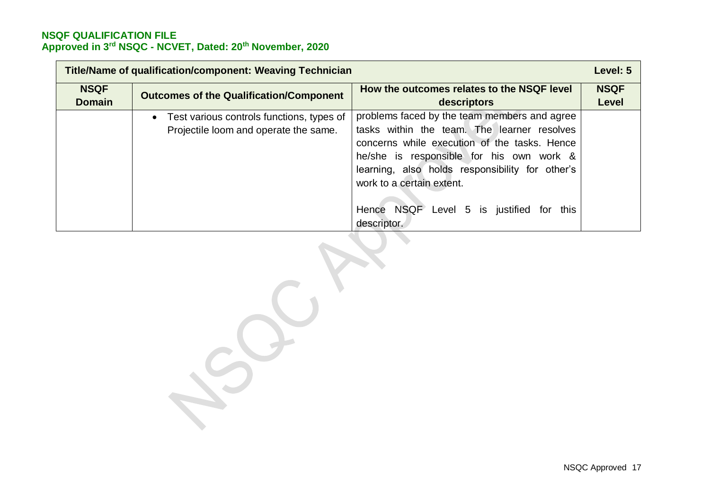| <b>Title/Name of qualification/component: Weaving Technician</b> |                                                                                                 | Level: 5                                                                                                                                                                                                                                                                                                                              |                             |
|------------------------------------------------------------------|-------------------------------------------------------------------------------------------------|---------------------------------------------------------------------------------------------------------------------------------------------------------------------------------------------------------------------------------------------------------------------------------------------------------------------------------------|-----------------------------|
| <b>NSQF</b><br><b>Domain</b>                                     | <b>Outcomes of the Qualification/Component</b>                                                  | How the outcomes relates to the NSQF level<br>descriptors                                                                                                                                                                                                                                                                             | <b>NSQF</b><br><b>Level</b> |
|                                                                  | Test various controls functions, types of<br>$\bullet$<br>Projectile loom and operate the same. | problems faced by the team members and agree<br>tasks within the team. The learner resolves<br>concerns while execution of the tasks. Hence<br>he/she is responsible for his own work &<br>learning, also holds responsibility for other's<br>work to a certain extent.<br>Hence NSQF Level 5 is justified<br>for this<br>descriptor. |                             |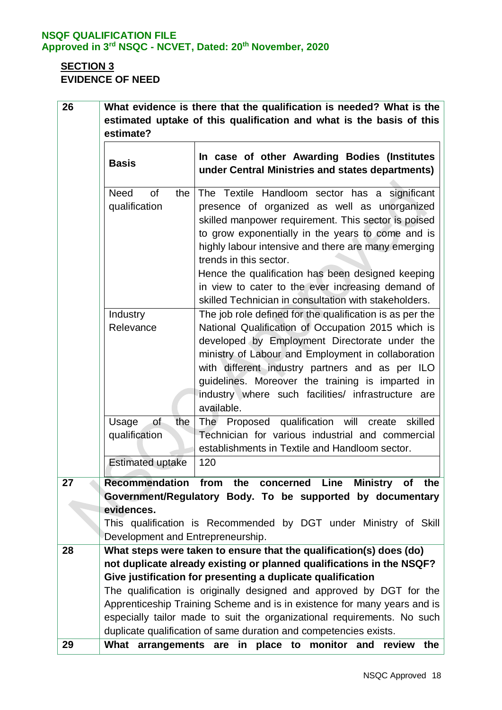# **SECTION 3 EVIDENCE OF NEED**

| 26 | What evidence is there that the qualification is needed? What is the<br>estimated uptake of this qualification and what is the basis of this |                                                                                                                                                                                                                                                                                                                                                                                                                                                               |  |
|----|----------------------------------------------------------------------------------------------------------------------------------------------|---------------------------------------------------------------------------------------------------------------------------------------------------------------------------------------------------------------------------------------------------------------------------------------------------------------------------------------------------------------------------------------------------------------------------------------------------------------|--|
|    | estimate?                                                                                                                                    |                                                                                                                                                                                                                                                                                                                                                                                                                                                               |  |
|    | <b>Basis</b>                                                                                                                                 | In case of other Awarding Bodies (Institutes<br>under Central Ministries and states departments)                                                                                                                                                                                                                                                                                                                                                              |  |
|    | of<br><b>Need</b><br>the<br>qualification                                                                                                    | The Textile Handloom sector has a significant<br>presence of organized as well as unorganized<br>skilled manpower requirement. This sector is poised<br>to grow exponentially in the years to come and is<br>highly labour intensive and there are many emerging<br>trends in this sector.<br>Hence the qualification has been designed keeping<br>in view to cater to the ever increasing demand of<br>skilled Technician in consultation with stakeholders. |  |
|    | Industry<br>Relevance                                                                                                                        | The job role defined for the qualification is as per the<br>National Qualification of Occupation 2015 which is<br>developed by Employment Directorate under the<br>ministry of Labour and Employment in collaboration<br>with different industry partners and as per ILO<br>guidelines. Moreover the training is imparted in<br>industry where such facilities/ infrastructure are<br>available.                                                              |  |
|    | of<br>Usage<br>the<br>qualification                                                                                                          | The Proposed qualification will create<br>skilled<br>Technician for various industrial and commercial<br>establishments in Textile and Handloom sector.                                                                                                                                                                                                                                                                                                       |  |
|    | <b>Estimated uptake</b>                                                                                                                      | 120                                                                                                                                                                                                                                                                                                                                                                                                                                                           |  |
| 27 | evidences.<br>Development and Entrepreneurship.                                                                                              | Recommendation from the concerned Line<br><b>Ministry</b><br>of the<br>Government/Regulatory Body. To be supported by documentary<br>This qualification is Recommended by DGT under Ministry of Skill                                                                                                                                                                                                                                                         |  |
| 28 |                                                                                                                                              | What steps were taken to ensure that the qualification(s) does (do)                                                                                                                                                                                                                                                                                                                                                                                           |  |
|    |                                                                                                                                              | not duplicate already existing or planned qualifications in the NSQF?<br>Give justification for presenting a duplicate qualification                                                                                                                                                                                                                                                                                                                          |  |
|    |                                                                                                                                              | The qualification is originally designed and approved by DGT for the                                                                                                                                                                                                                                                                                                                                                                                          |  |
|    |                                                                                                                                              | Apprenticeship Training Scheme and is in existence for many years and is<br>especially tailor made to suit the organizational requirements. No such                                                                                                                                                                                                                                                                                                           |  |
| 29 | What arrangements are                                                                                                                        | duplicate qualification of same duration and competencies exists.<br>monitor<br>and<br>in place to<br>review<br>the                                                                                                                                                                                                                                                                                                                                           |  |